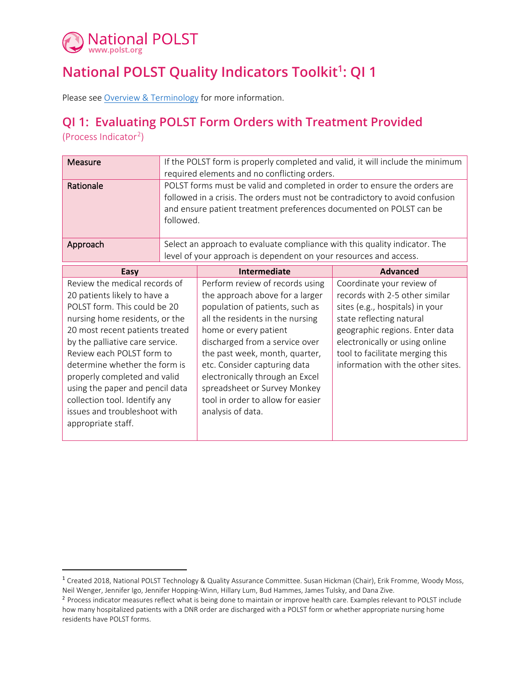

## **National POLST Quality Indicators Toolkit[1](#page-0-0) : QI 1**

Please see [Overview & Terminology](https://polst.org/qi-overview-pdf) for more information.

## **QI 1: Evaluating POLST Form Orders with Treatment Provided**

(Process Indicator<sup>[2](#page-0-1)</sup>)

| Measure   | If the POLST form is properly completed and valid, it will include the minimum<br>required elements and no conflicting orders.                                                                                                                 |
|-----------|------------------------------------------------------------------------------------------------------------------------------------------------------------------------------------------------------------------------------------------------|
| Rationale | POLST forms must be valid and completed in order to ensure the orders are<br>followed in a crisis. The orders must not be contradictory to avoid confusion<br>and ensure patient treatment preferences documented on POLST can be<br>followed. |
| Approach  | Select an approach to evaluate compliance with this quality indicator. The<br>level of your approach is dependent on your resources and access.                                                                                                |

| Easy                                                                                                                                                                                                                                                                                                                                                                                                                          | Intermediate                                                                                                                                                                                                                                                                                                                                                                                        | <b>Advanced</b>                                                                                                                                                                                                                                                        |
|-------------------------------------------------------------------------------------------------------------------------------------------------------------------------------------------------------------------------------------------------------------------------------------------------------------------------------------------------------------------------------------------------------------------------------|-----------------------------------------------------------------------------------------------------------------------------------------------------------------------------------------------------------------------------------------------------------------------------------------------------------------------------------------------------------------------------------------------------|------------------------------------------------------------------------------------------------------------------------------------------------------------------------------------------------------------------------------------------------------------------------|
| Review the medical records of<br>20 patients likely to have a<br>POLST form. This could be 20<br>nursing home residents, or the<br>20 most recent patients treated<br>by the palliative care service.<br>Review each POLST form to<br>determine whether the form is<br>properly completed and valid<br>using the paper and pencil data<br>collection tool. Identify any<br>issues and troubleshoot with<br>appropriate staff. | Perform review of records using<br>the approach above for a larger<br>population of patients, such as<br>all the residents in the nursing<br>home or every patient<br>discharged from a service over<br>the past week, month, quarter,<br>etc. Consider capturing data<br>electronically through an Excel<br>spreadsheet or Survey Monkey<br>tool in order to allow for easier<br>analysis of data. | Coordinate your review of<br>records with 2-5 other similar<br>sites (e.g., hospitals) in your<br>state reflecting natural<br>geographic regions. Enter data<br>electronically or using online<br>tool to facilitate merging this<br>information with the other sites. |

<span id="page-0-0"></span><sup>&</sup>lt;sup>1</sup> Created 2018, National POLST Technology & Quality Assurance Committee. Susan Hickman (Chair), Erik Fromme, Woody Moss, Neil Wenger, Jennifer Igo, Jennifer Hopping-Winn, Hillary Lum, Bud Hammes, James Tulsky, and Dana Zive.

<span id="page-0-1"></span><sup>&</sup>lt;sup>2</sup> Process indicator measures reflect what is being done to maintain or improve health care. Examples relevant to POLST include how many hospitalized patients with a DNR order are discharged with a POLST form or whether appropriate nursing home residents have POLST forms.